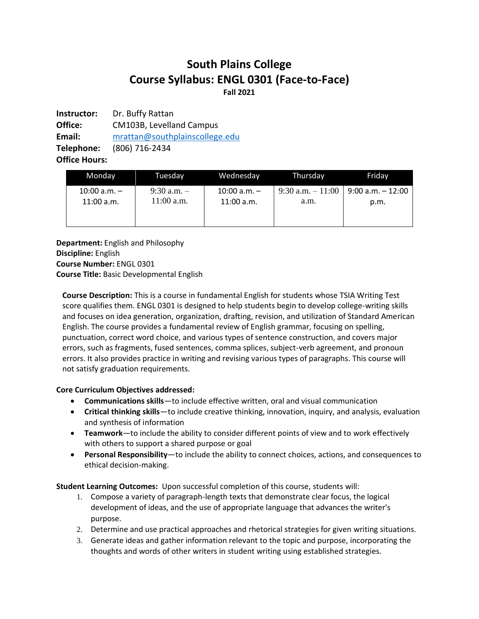# **South Plains College Course Syllabus: ENGL 0301 (Face-to-Face) Fall 2021**

**Instructor:** Dr. Buffy Rattan **Office:** CM103B, Levelland Campus **Email:** [mrattan@southplainscollege.edu](mailto:mrattan@southplainscollege.edu) **Telephone:** (806) 716-2434 **Office Hours:**

| Monday           | Tuesdav       | Wednesday        | Thursday           | Fridav               |
|------------------|---------------|------------------|--------------------|----------------------|
| $10:00$ a.m. $-$ | 9:30 a.m. $-$ | $10:00$ a.m. $-$ | 9:30 a.m. $-11:00$ | $9:00$ a.m. $-12:00$ |
| $11:00$ a.m.     | $11:00$ a.m.  | $11:00$ a.m.     | a.m.               | p.m.                 |

**Department:** English and Philosophy **Discipline:** English **Course Number:** ENGL 0301 **Course Title:** Basic Developmental English

**Course Description:** This is a course in fundamental English for students whose TSIA Writing Test score qualifies them. ENGL 0301 is designed to help students begin to develop college-writing skills and focuses on idea generation, organization, drafting, revision, and utilization of Standard American English. The course provides a fundamental review of English grammar, focusing on spelling, punctuation, correct word choice, and various types of sentence construction, and covers major errors, such as fragments, fused sentences, comma splices, subject-verb agreement, and pronoun errors. It also provides practice in writing and revising various types of paragraphs. This course will not satisfy graduation requirements.

# **Core Curriculum Objectives addressed:**

- **Communications skills**—to include effective written, oral and visual communication
- **Critical thinking skills**—to include creative thinking, innovation, inquiry, and analysis, evaluation and synthesis of information
- **Teamwork**—to include the ability to consider different points of view and to work effectively with others to support a shared purpose or goal
- **Personal Responsibility**—to include the ability to connect choices, actions, and consequences to ethical decision-making.

**Student Learning Outcomes:** Upon successful completion of this course, students will:

- 1. Compose a variety of paragraph-length texts that demonstrate clear focus, the logical development of ideas, and the use of appropriate language that advances the writer's purpose.
- 2. Determine and use practical approaches and rhetorical strategies for given writing situations.
- 3. Generate ideas and gather information relevant to the topic and purpose, incorporating the thoughts and words of other writers in student writing using established strategies.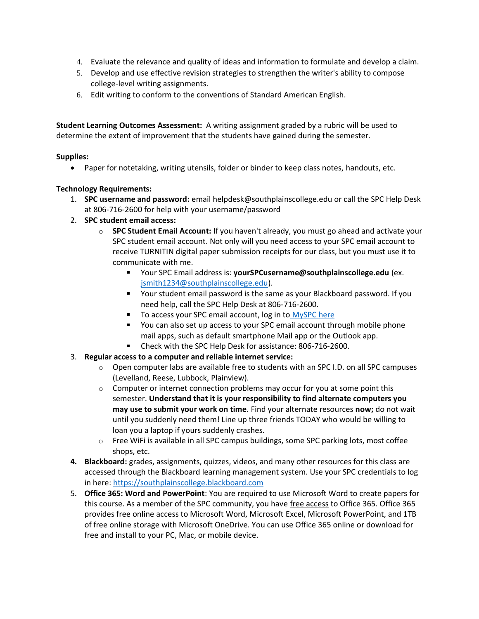- 4. Evaluate the relevance and quality of ideas and information to formulate and develop a claim.
- 5. Develop and use effective revision strategies to strengthen the writer's ability to compose college-level writing assignments.
- 6. Edit writing to conform to the conventions of Standard American English.

**Student Learning Outcomes Assessment:** A writing assignment graded by a rubric will be used to determine the extent of improvement that the students have gained during the semester.

## **Supplies:**

• Paper for notetaking, writing utensils, folder or binder to keep class notes, handouts, etc.

## **Technology Requirements:**

- 1. **SPC username and password:** email helpdesk@southplainscollege.edu or call the SPC Help Desk at 806-716-2600 for help with your username/password
- 2. **SPC student email access:**
	- o **SPC Student Email Account:** If you haven't already, you must go ahead and activate your SPC student email account. Not only will you need access to your SPC email account to receive TURNITIN digital paper submission receipts for our class, but you must use it to communicate with me.
		- Your SPC Email address is: **yourSPCusername@southplainscollege.edu** (ex. [jsmith1234@southplainscollege.edu\)](mailto:jsmith1234@southplainscollege.edu).
		- Your student email password is the same as your Blackboard password. If you need help, call the SPC Help Desk at 806-716-2600.
		- To access your SPC email account, log in to [MySPC here](https://fs.southplainscollege.edu/adfs/ls?wa=wsignin1.0&wtrealm=urn%3aportal.southplainscollege.edu%3a443&wctx=https%3a%2f%2fportal.southplainscollege.edu%2f_layouts%2f15%2fAuthenticate.aspx%3fSource%3d%252F&wreply=https%3a%2f%2fportal.southplainscollege.edu%2f_trust%2fdefault.aspx)  $\mathbf{r}$
		- You can also set up access to your SPC email account through mobile phone mail apps, such as default smartphone Mail app or the Outlook app.
		- Check with the SPC Help Desk for assistance: 806-716-2600.
- 3. **Regular access to a computer and reliable internet service:**
	- $\circ$  Open computer labs are available free to students with an SPC I.D. on all SPC campuses (Levelland, Reese, Lubbock, Plainview).
	- $\circ$  Computer or internet connection problems may occur for you at some point this semester. **Understand that it is your responsibility to find alternate computers you may use to submit your work on time***.* Find your alternate resources **now;** do not wait until you suddenly need them! Line up three friends TODAY who would be willing to loan you a laptop if yours suddenly crashes.
	- o Free WiFi is available in all SPC campus buildings, some SPC parking lots, most coffee shops, etc.
- **4. Blackboard:** grades, assignments, quizzes, videos, and many other resources for this class are accessed through the Blackboard learning management system. Use your SPC credentials to log in here: [https://southplainscollege.blackboard.com](https://southplainscollege.blackboard.com/)
- 5. **Office 365: Word and PowerPoint**: You are required to use Microsoft Word to create papers for this course. As a member of the SPC community, you have free access to Office 365. Office 365 provides free online access to Microsoft Word, Microsoft Excel, Microsoft PowerPoint, and 1TB of free online storage with Microsoft OneDrive. You can use Office 365 online or download for free and install to your PC, Mac, or mobile device.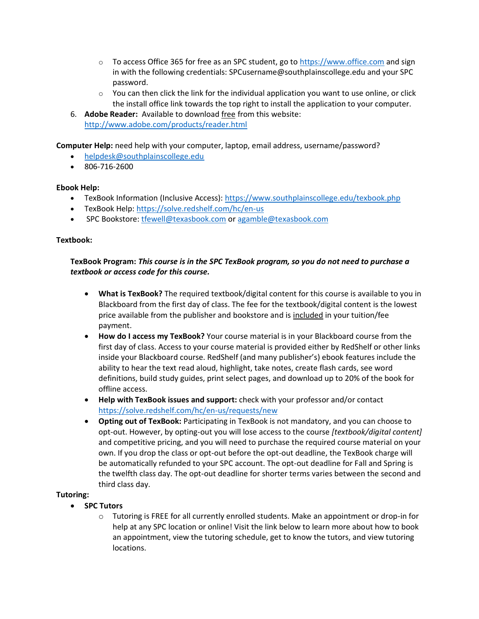- $\circ$  To access Office 365 for free as an SPC student, go to [https://www.office.com](https://www.office.com/) and sign in with the following credentials: SPCusername@southplainscollege.edu and your SPC password.
- $\circ$  You can then click the link for the individual application you want to use online, or click the install office link towards the top right to install the application to your computer.
- 6. **Adobe Reader:** Available to download free from this website: <http://www.adobe.com/products/reader.html>

**Computer Help:** need help with your computer, laptop, email address, username/password?

- [helpdesk@southplainscollege.edu](mailto:helpdesk@southplainscollege.edu)
- 806-716-2600

## **Ebook Help:**

- TexBook Information (Inclusive Access):<https://www.southplainscollege.edu/texbook.php>
- TexBook Help:<https://solve.redshelf.com/hc/en-us>
- SPC Bookstore[: tfewell@texasbook.com](mailto:tfewell@texasbook.com) or [agamble@texasbook.com](mailto:agamble@texasbook.com)

## **Textbook:**

## **TexBook Program:** *This course is in the SPC TexBook program, so you do not need to purchase a textbook or access code for this course.*

- **What is TexBook?** The required textbook/digital content for this course is available to you in Blackboard from the first day of class. The fee for the textbook/digital content is the lowest price available from the publisher and bookstore and is included in your tuition/fee payment.
- **How do I access my TexBook?** Your course material is in your Blackboard course from the first day of class. Access to your course material is provided either by RedShelf or other links inside your Blackboard course. RedShelf (and many publisher's) ebook features include the ability to hear the text read aloud, highlight, take notes, create flash cards, see word definitions, build study guides, print select pages, and download up to 20% of the book for offline access.
- **Help with TexBook issues and support:** check with your professor and/or contact <https://solve.redshelf.com/hc/en-us/requests/new>
- **Opting out of TexBook:** Participating in TexBook is not mandatory, and you can choose to opt-out. However, by opting-out you will lose access to the course *[textbook/digital content]* and competitive pricing, and you will need to purchase the required course material on your own. If you drop the class or opt-out before the opt-out deadline, the TexBook charge will be automatically refunded to your SPC account. The opt-out deadline for Fall and Spring is the twelfth class day. The opt-out deadline for shorter terms varies between the second and third class day.

## **Tutoring:**

- **SPC Tutors**
	- $\circ$  Tutoring is FREE for all currently enrolled students. Make an appointment or drop-in for help at any SPC location or online! Visit the link below to learn more about how to book an appointment, view the tutoring schedule, get to know the tutors, and view tutoring locations.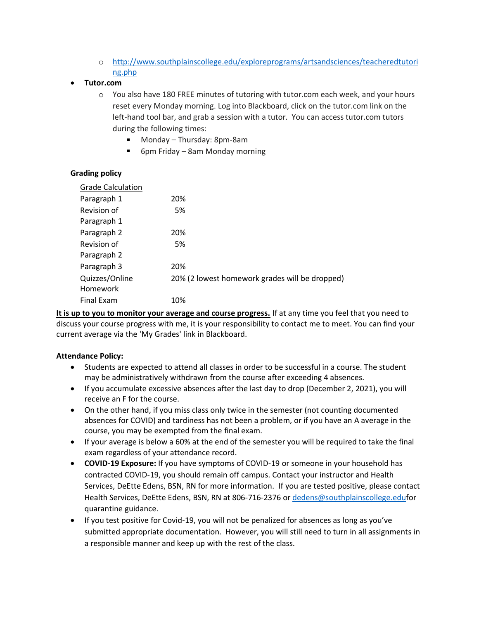o [http://www.southplainscollege.edu/exploreprograms/artsandsciences/teacheredtutori](http://www.southplainscollege.edu/exploreprograms/artsandsciences/teacheredtutoring.php) [ng.php](http://www.southplainscollege.edu/exploreprograms/artsandsciences/teacheredtutoring.php)

## • **Tutor.com**

- o You also have 180 FREE minutes of tutoring with tutor.com each week, and your hours reset every Monday morning. Log into Blackboard, click on the tutor.com link on the left-hand tool bar, and grab a session with a tutor. You can access tutor.com tutors during the following times:
	- Monday Thursday: 8pm-8am
	- 6pm Friday 8am Monday morning

## **Grading policy**

| <b>Grade Calculation</b> |                                                |
|--------------------------|------------------------------------------------|
| Paragraph 1              | 20%                                            |
| Revision of              | 5%                                             |
| Paragraph 1              |                                                |
| Paragraph 2              | 20%                                            |
| Revision of              | 5%                                             |
| Paragraph 2              |                                                |
| Paragraph 3              | 20%                                            |
| Quizzes/Online           | 20% (2 lowest homework grades will be dropped) |
| Homework                 |                                                |
| <b>Final Exam</b>        | 10%                                            |

**It is up to you to monitor your average and course progress.** If at any time you feel that you need to discuss your course progress with me, it is your responsibility to contact me to meet. You can find your current average via the 'My Grades' link in Blackboard.

## **Attendance Policy:**

- Students are expected to attend all classes in order to be successful in a course. The student may be administratively withdrawn from the course after exceeding 4 absences.
- If you accumulate excessive absences after the last day to drop (December 2, 2021), you will receive an F for the course.
- On the other hand, if you miss class only twice in the semester (not counting documented absences for COVID) and tardiness has not been a problem, or if you have an A average in the course, you may be exempted from the final exam.
- If your average is below a 60% at the end of the semester you will be required to take the final exam regardless of your attendance record.
- **COVID-19 Exposure:** If you have symptoms of COVID-19 or someone in your household has contracted COVID-19, you should remain off campus. Contact your instructor and Health Services, DeEtte Edens, BSN, RN for more information. If you are tested positive, please contact Health Services, DeEtte Edens, BSN, RN at 806-716-2376 or [dedens@southplainscollege.eduf](mailto:dedens@southplainscollege.edu)or quarantine guidance.
- If you test positive for Covid-19, you will not be penalized for absences as long as you've submitted appropriate documentation. However, you will still need to turn in all assignments in a responsible manner and keep up with the rest of the class.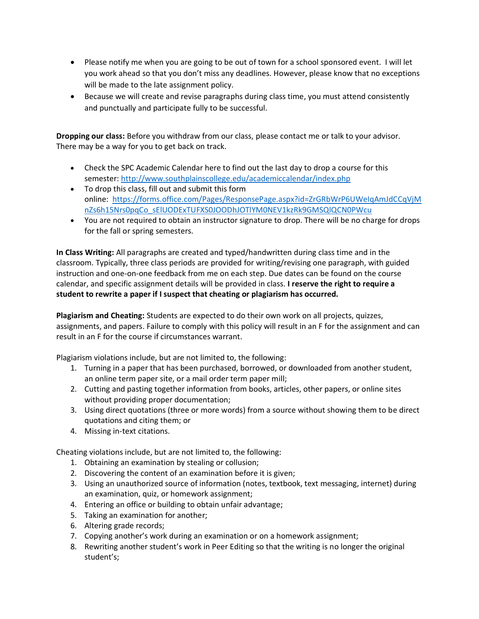- Please notify me when you are going to be out of town for a school sponsored event. I will let you work ahead so that you don't miss any deadlines. However, please know that no exceptions will be made to the late assignment policy.
- Because we will create and revise paragraphs during class time, you must attend consistently and punctually and participate fully to be successful.

**Dropping our class:** Before you withdraw from our class, please contact me or talk to your advisor. There may be a way for you to get back on track.

- Check the SPC Academic Calendar here to find out the last day to drop a course for this semester:<http://www.southplainscollege.edu/academiccalendar/index.php>
- To drop this class, fill out and submit this form online: [https://forms.office.com/Pages/ResponsePage.aspx?id=ZrGRbWrP6UWeIqAmJdCCqVjM](https://forms.office.com/Pages/ResponsePage.aspx?id=ZrGRbWrP6UWeIqAmJdCCqVjMnZs6h15Nrs0pqCo_sElUODExTUFXS0JOODhJOTlYM0NEV1kzRk9GMSQlQCN0PWcu) [nZs6h15Nrs0pqCo\\_sElUODExTUFXS0JOODhJOTlYM0NEV1kzRk9GMSQlQCN0PWcu](https://forms.office.com/Pages/ResponsePage.aspx?id=ZrGRbWrP6UWeIqAmJdCCqVjMnZs6h15Nrs0pqCo_sElUODExTUFXS0JOODhJOTlYM0NEV1kzRk9GMSQlQCN0PWcu)
- You are not required to obtain an instructor signature to drop. There will be no charge for drops for the fall or spring semesters.

**In Class Writing:** All paragraphs are created and typed/handwritten during class time and in the classroom. Typically, three class periods are provided for writing/revising one paragraph, with guided instruction and one-on-one feedback from me on each step. Due dates can be found on the course calendar, and specific assignment details will be provided in class. **I reserve the right to require a student to rewrite a paper if I suspect that cheating or plagiarism has occurred.**

**Plagiarism and Cheating:** Students are expected to do their own work on all projects, quizzes, assignments, and papers. Failure to comply with this policy will result in an F for the assignment and can result in an F for the course if circumstances warrant.

Plagiarism violations include, but are not limited to, the following:

- 1. Turning in a paper that has been purchased, borrowed, or downloaded from another student, an online term paper site, or a mail order term paper mill;
- 2. Cutting and pasting together information from books, articles, other papers, or online sites without providing proper documentation;
- 3. Using direct quotations (three or more words) from a source without showing them to be direct quotations and citing them; or
- 4. Missing in-text citations.

Cheating violations include, but are not limited to, the following:

- 1. Obtaining an examination by stealing or collusion;
- 2. Discovering the content of an examination before it is given;
- 3. Using an unauthorized source of information (notes, textbook, text messaging, internet) during an examination, quiz, or homework assignment;
- 4. Entering an office or building to obtain unfair advantage;
- 5. Taking an examination for another;
- 6. Altering grade records;
- 7. Copying another's work during an examination or on a homework assignment;
- 8. Rewriting another student's work in Peer Editing so that the writing is no longer the original student's;